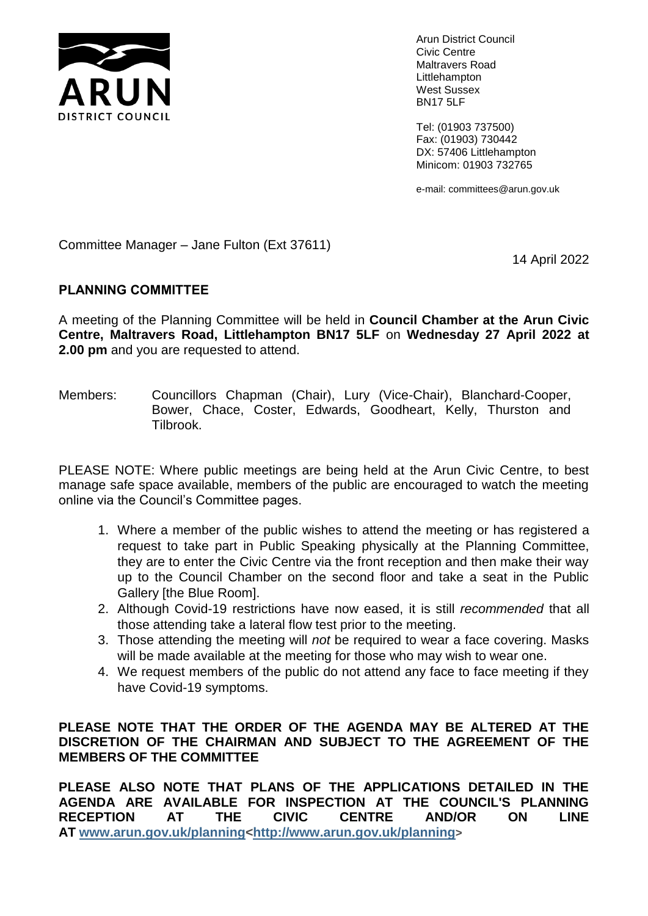

Arun District Council Civic Centre Maltravers Road Littlehampton West Sussex BN17 5LF

Tel: (01903 737500) Fax: (01903) 730442 DX: 57406 Littlehampton Minicom: 01903 732765

e-mail: committees@arun.gov.uk

Committee Manager – Jane Fulton (Ext 37611)

14 April 2022

# **PLANNING COMMITTEE**

A meeting of the Planning Committee will be held in **Council Chamber at the Arun Civic Centre, Maltravers Road, Littlehampton BN17 5LF** on **Wednesday 27 April 2022 at 2.00 pm** and you are requested to attend.

Members: Councillors Chapman (Chair), Lury (Vice-Chair), Blanchard-Cooper, Bower, Chace, Coster, Edwards, Goodheart, Kelly, Thurston and Tilbrook.

PLEASE NOTE: Where public meetings are being held at the Arun Civic Centre, to best manage safe space available, members of the public are encouraged to watch the meeting online via the Council's Committee pages.

- 1. Where a member of the public wishes to attend the meeting or has registered a request to take part in Public Speaking physically at the Planning Committee, they are to enter the Civic Centre via the front reception and then make their way up to the Council Chamber on the second floor and take a seat in the Public Gallery [the Blue Room].
- 2. Although Covid-19 restrictions have now eased, it is still *recommended* that all those attending take a lateral flow test prior to the meeting.
- 3. Those attending the meeting will *not* be required to wear a face covering. Masks will be made available at the meeting for those who may wish to wear one.
- 4. We request members of the public do not attend any face to face meeting if they have Covid-19 symptoms.

# **PLEASE NOTE THAT THE ORDER OF THE AGENDA MAY BE ALTERED AT THE DISCRETION OF THE CHAIRMAN AND SUBJECT TO THE AGREEMENT OF THE MEMBERS OF THE COMMITTEE**

**PLEASE ALSO NOTE THAT PLANS OF THE APPLICATIONS DETAILED IN THE AGENDA ARE AVAILABLE FOR INSPECTION AT THE COUNCIL'S PLANNING RECEPTION AT THE CIVIC CENTRE AND/OR ON LINE AT [www.arun.gov.uk/planning<http://www.arun.gov.uk/planning](http://www.arun.gov.uk/planning)>**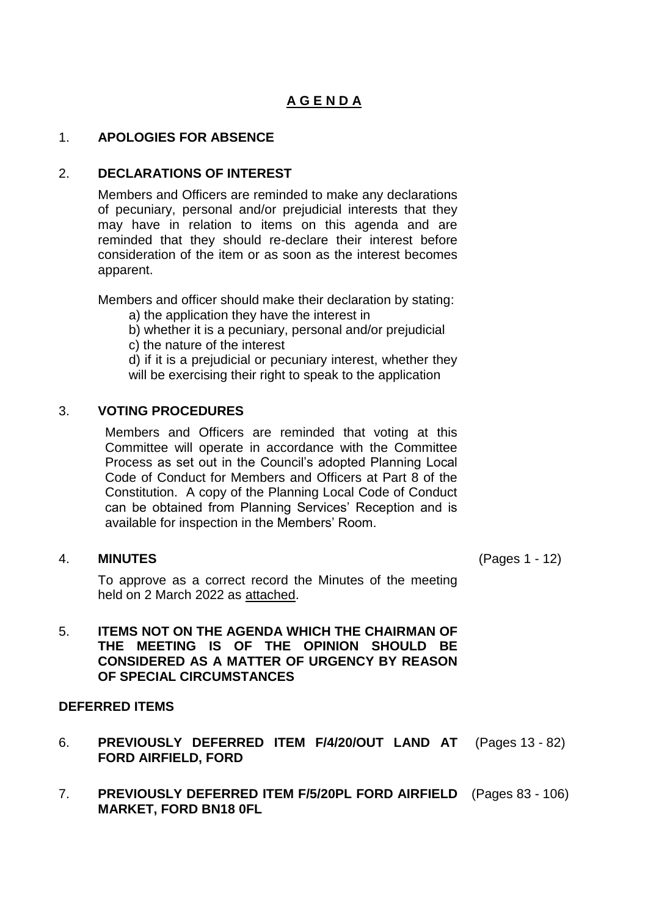# **A G E N D A**

# 1. **APOLOGIES FOR ABSENCE**

### 2. **DECLARATIONS OF INTEREST**

Members and Officers are reminded to make any declarations of pecuniary, personal and/or prejudicial interests that they may have in relation to items on this agenda and are reminded that they should re-declare their interest before consideration of the item or as soon as the interest becomes apparent.

Members and officer should make their declaration by stating:

- a) the application they have the interest in
- b) whether it is a pecuniary, personal and/or prejudicial
- c) the nature of the interest

d) if it is a prejudicial or pecuniary interest, whether they will be exercising their right to speak to the application

## 3. **VOTING PROCEDURES**

Members and Officers are reminded that voting at this Committee will operate in accordance with the Committee Process as set out in the Council's adopted Planning Local Code of Conduct for Members and Officers at Part 8 of the Constitution. A copy of the Planning Local Code of Conduct can be obtained from Planning Services' Reception and is available for inspection in the Members' Room.

# 4. **MINUTES** (Pages 1 - 12)

To approve as a correct record the Minutes of the meeting held on 2 March 2022 as attached.

### 5. **ITEMS NOT ON THE AGENDA WHICH THE CHAIRMAN OF THE MEETING IS OF THE OPINION SHOULD BE CONSIDERED AS A MATTER OF URGENCY BY REASON OF SPECIAL CIRCUMSTANCES**

#### **DEFERRED ITEMS**

- 6. **PREVIOUSLY DEFERRED ITEM F/4/20/OUT LAND AT FORD AIRFIELD, FORD** (Pages 13 - 82)
- 7. **PREVIOUSLY DEFERRED ITEM F/5/20PL FORD AIRFIELD** (Pages 83 106)**MARKET, FORD BN18 0FL**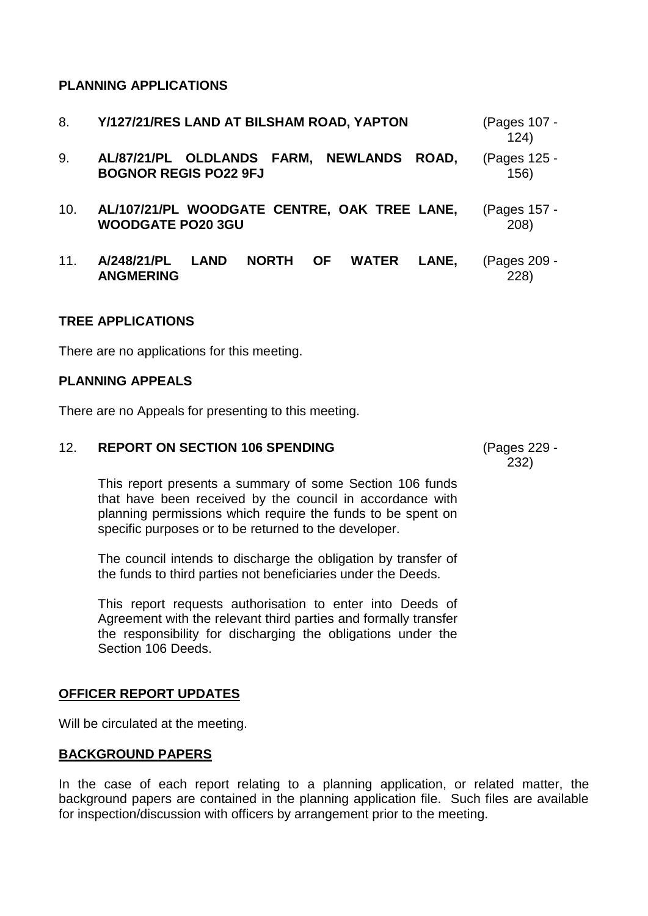## **PLANNING APPLICATIONS**

| 8.  | Y/127/21/RES LAND AT BILSHAM ROAD, YAPTON                                                     | (Pages 107 -<br>124) |
|-----|-----------------------------------------------------------------------------------------------|----------------------|
| 9.  | AL/87/21/PL OLDLANDS FARM, NEWLANDS ROAD,<br><b>BOGNOR REGIS PO22 9FJ</b>                     | (Pages 125 -<br>156) |
| 10. | AL/107/21/PL WOODGATE CENTRE, OAK TREE LANE,<br><b>WOODGATE PO20 3GU</b>                      | (Pages 157 -<br>208) |
| 11. | <b>OF</b><br>A/248/21/PL<br>WATER<br>LANE,<br><b>LAND</b><br><b>NORTH</b><br><b>ANGMERING</b> | (Pages 209 -<br>228) |

## **TREE APPLICATIONS**

There are no applications for this meeting.

### **PLANNING APPEALS**

There are no Appeals for presenting to this meeting.

### 12. **REPORT ON SECTION 106 SPENDING** (Pages 229 -

232)

This report presents a summary of some Section 106 funds that have been received by the council in accordance with planning permissions which require the funds to be spent on specific purposes or to be returned to the developer.

The council intends to discharge the obligation by transfer of the funds to third parties not beneficiaries under the Deeds.

This report requests authorisation to enter into Deeds of Agreement with the relevant third parties and formally transfer the responsibility for discharging the obligations under the Section 106 Deeds.

## **OFFICER REPORT UPDATES**

Will be circulated at the meeting.

#### **BACKGROUND PAPERS**

In the case of each report relating to a planning application, or related matter, the background papers are contained in the planning application file. Such files are available for inspection/discussion with officers by arrangement prior to the meeting.